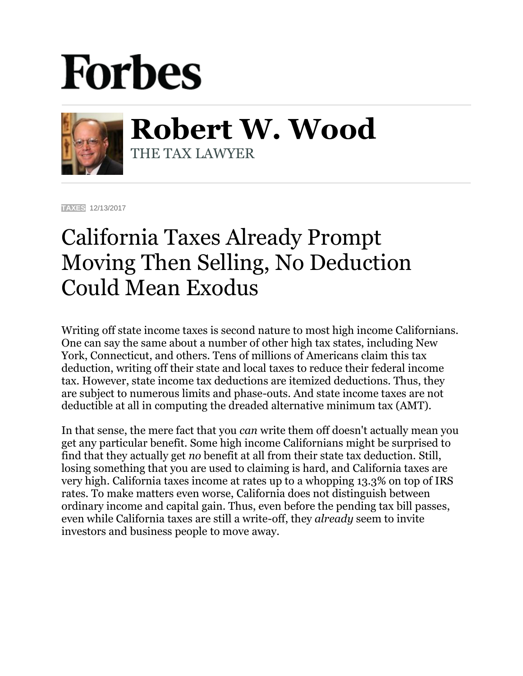## **Forbes**



**Robert W. Wood** THE TAX LAWYER

**[TAXES](https://www.forbes.com/taxes)** 12/13/2017

## California Taxes Already Prompt Moving Then Selling, No Deduction Could Mean Exodus

Writing off state income taxes is second nature to most high income Californians. One can say the same about a number of other high tax states, including New York, Connecticut, and others. Tens of millions of Americans claim this tax deduction, writing off their state and local taxes to reduce their federal income tax. However, state income tax deductions are itemized deductions. Thus, they are subject to numerous limits and phase-outs. And state income taxes are not deductible at all in computing the dreaded alternative minimum tax (AMT).

In that sense, the mere fact that you *can* write them off doesn't actually mean you get any particular benefit. Some high income Californians might be surprised to find that they actually get *no* benefit at all from their state tax deduction. Still, losing something that you are used to claiming is hard, and California taxes are very high. California taxes income at rates up to a whopping 13.3% on top of IRS rates. To make matters even worse, California does not distinguish between ordinary income and capital gain. Thus, even before the pending tax bill passes, even while California taxes are still a write-off, they *already* seem to invite investors and business people to move away.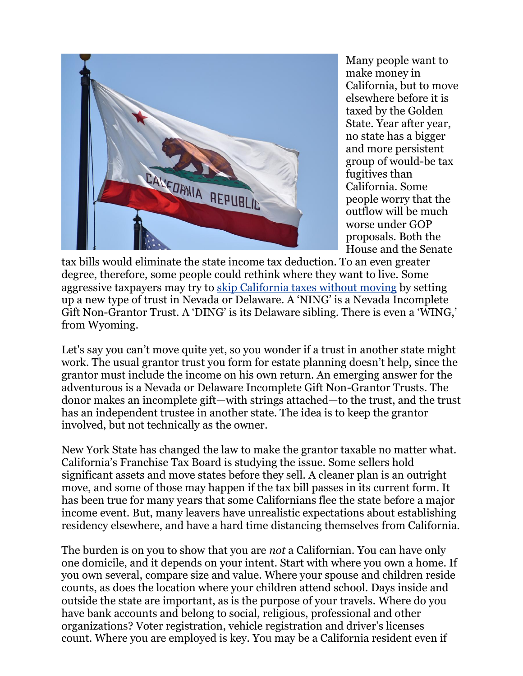

Many people want to make money in California, but to move elsewhere before it is taxed by the Golden State. Year after year, no state has a bigger and more persistent group of would-be tax fugitives than California. Some people worry that the outflow will be much worse under GOP proposals. Both the House and the Senate

tax bills would eliminate the state income tax deduction. To an even greater degree, therefore, some people could rethink where they want to live. Some aggressive taxpayers may try to [skip California taxes without moving](https://www.google.com/url?sa=t&rct=j&q=&esrc=s&source=web&cd=1&cad=rja&uact=8&ved=0ahUKEwjllqLMq4bYAhUEPiYKHUFABuEQFggnMAA&url=https%3A%2F%2Fwww.forbes.com%2Fsites%2Frobertwood%2F2016%2F06%2F13%2Fcan-you-skip-california-taxes-without-moving%2F&usg=AOvVaw17RYMppZaylL7FvU12UgQc) by setting up a new type of trust in Nevada or Delaware. A 'NING' is a Nevada Incomplete Gift Non-Grantor Trust. A 'DING' is its Delaware sibling. There is even a 'WING,' from Wyoming.

Let's say you can't move quite yet, so you wonder if a trust in another state might work. The usual grantor trust you form for estate planning doesn't help, since the grantor must include the income on his own return. An emerging answer for the adventurous is a Nevada or Delaware Incomplete Gift Non-Grantor Trusts. The donor makes an incomplete gift—with strings attached—to the trust, and the trust has an independent trustee in another state. The idea is to keep the grantor involved, but not technically as the owner.

New York State has changed the law to make the grantor taxable no matter what. California's Franchise Tax Board is studying the issue. Some sellers hold significant assets and move states before they sell. A cleaner plan is an outright move, and some of those may happen if the tax bill passes in its current form. It has been true for many years that some Californians flee the state before a major income event. But, many leavers have unrealistic expectations about establishing residency elsewhere, and have a hard time distancing themselves from California.

The burden is on you to show that you are *not* a Californian. You can have only one domicile, and it depends on your intent. Start with where you own a home. If you own several, compare size and value. Where your spouse and children reside counts, as does the location where your children attend school. Days inside and outside the state are important, as is the purpose of your travels. Where do you have bank accounts and belong to social, religious, professional and other organizations? Voter registration, vehicle registration and driver's licenses count. Where you are employed is key. You may be a California resident even if